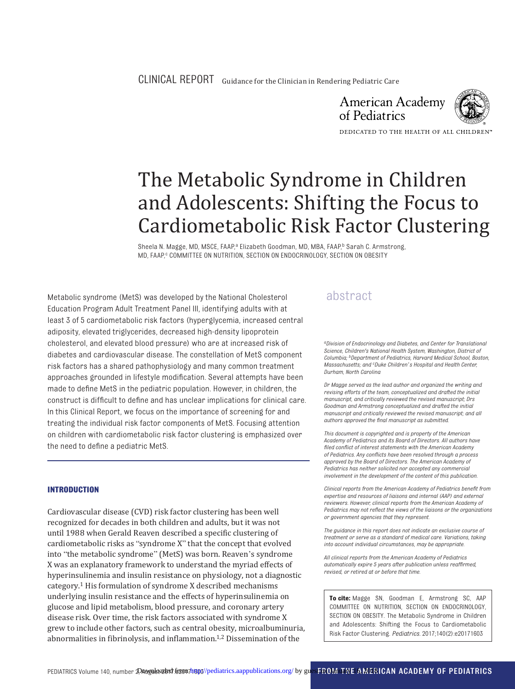CLINICAL REPORT Guidance for the Clinician in Rendering Pediatric Care

**American Academy** of Pediatrics



DEDICATED TO THE HEALTH OF ALL CHILDREN<sup>®</sup>

## The Metabolic Syndrome in Children and Adolescents: Shifting the Focus to Cardiometabolic Risk Factor Clustering

Sheela N. Magge, MD, MSCE, FAAP,<sup>a</sup> Elizabeth Goodman, MD, MBA, FAAP,<sup>b</sup> Sarah C. Armstrong, MD, FAAP,<sup>c</sup> COMMITTEE ON NUTRITION, SECTION ON ENDOCRINOLOGY, SECTION ON OBESITY

Metabolic syndrome (MetS) was developed by the National Cholesterol  $a\bar{b}$ stract Education Program Adult Treatment Panel III, identifying adults with at least 3 of 5 cardiometabolic risk factors (hyperglycemia, increased central adiposity, elevated triglycerides, decreased high-density lipoprotein cholesterol, and elevated blood pressure) who are at increased risk of diabetes and cardiovascular disease. The constellation of MetS component risk factors has a shared pathophysiology and many common treatment approaches grounded in lifestyle modification. Several attempts have been made to define MetS in the pediatric population. However, in children, the construct is difficult to define and has unclear implications for clinical care. In this Clinical Report, we focus on the importance of screening for and treating the individual risk factor components of MetS. Focusing attention on children with cardiometabolic risk factor clustering is emphasized over the need to define a pediatric MetS.

*aDivision of Endocrinology and Diabetes, and Center for Translational Science, Children's National Health System, Washington, District of Columbia; bDepartment of Pediatrics, Harvard Medical School, Boston, Massachusetts; and c Duke Children's Hospital and Health Center, Durham, North Carolina*

*Dr Magge served as the lead author and organized the writing and revising efforts of the team, conceptualized and drafted the initial manuscript, and critically reviewed the revised manuscript; Drs Goodman and Armstrong conceptualized and drafted the initial manuscript and critically reviewed the revised manuscript; and all authors approved the final manuscript as submitted.*

*This document is copyrighted and is property of the American Academy of Pediatrics and its Board of Directors. All authors have filed conflict of interest statements with the American Academy of Pediatrics. Any conflicts have been resolved through a process approved by the Board of Directors. The American Academy of Pediatrics has neither solicited nor accepted any commercial involvement in the development of the content of this publication.*

*Clinical reports from the American Academy of Pediatrics benefit from expertise and resources of liaisons and internal (AAP) and external reviewers. However, clinical reports from the American Academy of Pediatrics may not reflect the views of the liaisons or the organizations or government agencies that they represent.*

*The guidance in this report does not indicate an exclusive course of treatment or serve as a standard of medical care. Variations, taking into account individual circumstances, may be appropriate.*

*All clinical reports from the American Academy of Pediatrics automatically expire 5 years after publication unless reaffirmed, revised, or retired at or before that time.*

**To cite:** Magge SN, Goodman E, Armstrong SC, AAP COMMITTEE ON NUTRITION, SECTION ON ENDOCRINOLOGY, SECTION ON OBESITY. The Metabolic Syndrome in Children and Adolescents: Shifting the Focus to Cardiometabolic Risk Factor Clustering. *Pediatrics.* 2017;140(2):e20171603

#### **Introduction**

Cardiovascular disease (CVD) risk factor clustering has been well recognized for decades in both children and adults, but it was not until 1988 when Gerald Reaven described a specific clustering of cardiometabolic risks as "syndrome X" that the concept that evolved into "the metabolic syndrome" (MetS) was born. Reaven's syndrome X was an explanatory framework to understand the myriad effects of hyperinsulinemia and insulin resistance on physiology, not a diagnostic category. [1](#page-8-0) His formulation of syndrome X described mechanisms underlying insulin resistance and the effects of hyperinsulinemia on glucose and lipid metabolism, blood pressure, and coronary artery disease risk. Over time, the risk factors associated with syndrome X grew to include other factors, such as central obesity, microalbuminuria, abnormalities in fibrinolysis, and inflammation. [1](#page-8-0)[,2](#page-8-1) Dissemination of the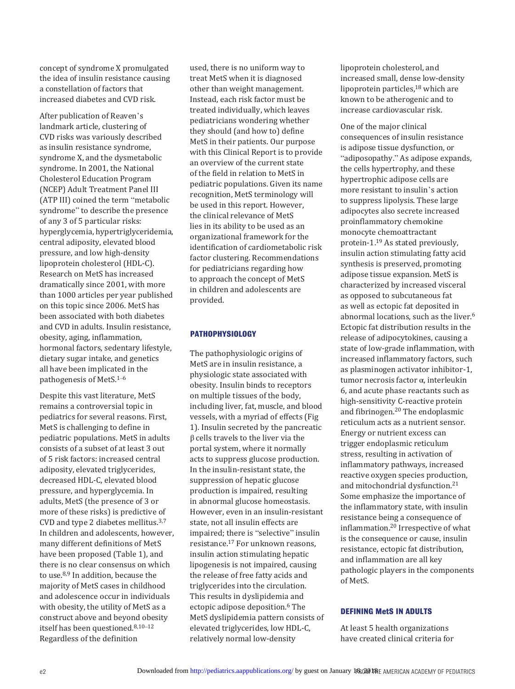concept of syndrome X promulgated the idea of insulin resistance causing a constellation of factors that increased diabetes and CVD risk.

After publication of Reaven's landmark article, clustering of CVD risks was variously described as insulin resistance syndrome, syndrome X, and the dysmetabolic syndrome. In 2001, the National Cholesterol Education Program (NCEP) Adult Treatment Panel III (ATP III) coined the term "metabolic syndrome" to describe the presence of any 3 of 5 particular risks: hyperglycemia, hypertriglyceridemia, central adiposity, elevated blood pressure, and low high-density lipoprotein cholesterol (HDL-C). Research on MetS has increased dramatically since 2001, with more than 1000 articles per year published on this topic since 2006. MetS has been associated with both diabetes and CVD in adults. Insulin resistance, obesity, aging, inflammation, hormonal factors, sedentary lifestyle, dietary sugar intake, and genetics all have been implicated in the pathogenesis of MetS. [1](#page-8-0)–[6](#page-8-2)

Despite this vast literature, MetS remains a controversial topic in pediatrics for several reasons. First, MetS is challenging to define in pediatric populations. MetS in adults consists of a subset of at least 3 out of 5 risk factors: increased central adiposity, elevated triglycerides, decreased HDL-C, elevated blood pressure, and hyperglycemia. In adults, MetS (the presence of 3 or more of these risks) is predictive of CVD and type 2 diabetes mellitus. [3](#page-8-3)[,7](#page-8-4) In children and adolescents, however, many different definitions of MetS have been proposed (Table 1), and there is no clear consensus on which to use.<sup>[8](#page-8-5),9</sup> In addition, because the majority of MetS cases in childhood and adolescence occur in individuals with obesity, the utility of MetS as a construct above and beyond obesity itself has been questioned. [8](#page-8-5)[,10](#page-8-7)–[12](#page-8-8) Regardless of the definition

used, there is no uniform way to treat MetS when it is diagnosed other than weight management. Instead, each risk factor must be treated individually, which leaves pediatricians wondering whether they should (and how to) define MetS in their patients. Our purpose with this Clinical Report is to provide an overview of the current state of the field in relation to MetS in pediatric populations. Given its name recognition, MetS terminology will be used in this report. However, the clinical relevance of MetS lies in its ability to be used as an organizational framework for the identification of cardiometabolic risk factor clustering. Recommendations for pediatricians regarding how to approach the concept of MetS in children and adolescents are provided.

#### **Pathophysiology**

The pathophysiologic origins of MetS are in insulin resistance, a physiologic state associated with obesity. Insulin binds to receptors on multiple tissues of the body, including liver, fat, muscle, and blood vessels, with a myriad of effects ([Fig](#page-3-0)  [1](#page-3-0)). Insulin secreted by the pancreatic  $β$  cells travels to the liver via the portal system, where it normally acts to suppress glucose production. In the insulin-resistant state, the suppression of hepatic glucose production is impaired, resulting in abnormal glucose homeostasis. However, even in an insulin-resistant state, not all insulin effects are impaired; there is "selective" insulin resistance. [17](#page-8-9) For unknown reasons, insulin action stimulating hepatic lipogenesis is not impaired, causing the release of free fatty acids and triglycerides into the circulation. This results in dyslipidemia and ectopic adipose deposition. [6](#page-8-2) The MetS dyslipidemia pattern consists of elevated triglycerides, low HDL-C, relatively normal low-density

lipoprotein cholesterol, and increased small, dense low-density lipoprotein particles,[18](#page-8-10) which are known to be atherogenic and to increase cardiovascular risk.

One of the major clinical consequences of insulin resistance is adipose tissue dysfunction, or "adiposopathy." As adipose expands, the cells hypertrophy, and these hypertrophic adipose cells are more resistant to insulin's action to suppress lipolysis. These large adipocytes also secrete increased proinflammatory chemokine monocyte chemoattractant protein-1. [19](#page-8-11) As stated previously, insulin action stimulating fatty acid synthesis is preserved, promoting adipose tissue expansion. MetS is characterized by increased visceral as opposed to subcutaneous fat as well as ectopic fat deposited in abnormal locations, such as the liver. [6](#page-8-2) Ectopic fat distribution results in the release of adipocytokines, causing a state of low-grade inflammation, with increased inflammatory factors, such as plasminogen activator inhibitor-1, tumor necrosis factor α, interleukin 6, and acute phase reactants such as high-sensitivity C-reactive protein and fibrinogen. [20](#page-8-12) The endoplasmic reticulum acts as a nutrient sensor. Energy or nutrient excess can trigger endoplasmic reticulum stress, resulting in activation of inflammatory pathways, increased reactive oxygen species production, and mitochondrial dysfunction. [21](#page-8-13) Some emphasize the importance of the inflammatory state, with insulin resistance being a consequence of inflammation.[20](#page-8-12) Irrespective of what is the consequence or cause, insulin resistance, ectopic fat distribution, and inflammation are all key pathologic players in the components of MetS.

#### **Defining MetS in Adults**

At least 5 health organizations have created clinical criteria for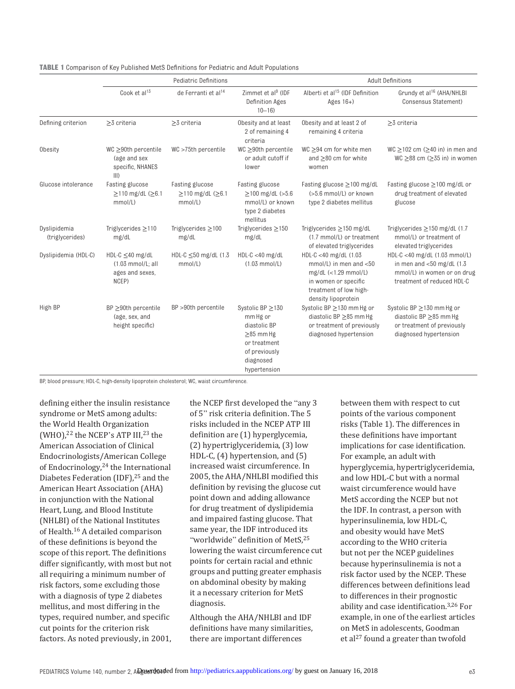|  |  |  |  |  | <b>TABLE 1</b> Comparison of Key Published MetS Definitions for Pediatric and Adult Populations |
|--|--|--|--|--|-------------------------------------------------------------------------------------------------|
|--|--|--|--|--|-------------------------------------------------------------------------------------------------|

|                                 | <b>Pediatric Definitions</b>                                             |                                                     |                                                                                                                               | <b>Adult Definitions</b>                                                                                                                              |                                                                                                                             |  |
|---------------------------------|--------------------------------------------------------------------------|-----------------------------------------------------|-------------------------------------------------------------------------------------------------------------------------------|-------------------------------------------------------------------------------------------------------------------------------------------------------|-----------------------------------------------------------------------------------------------------------------------------|--|
|                                 | Cook et al <sup>13</sup>                                                 | de Ferranti et al <sup>14</sup>                     | Zimmet et al <sup>9</sup> (IDF<br>Definition Ages<br>$10 - 16$                                                                | Alberti et al <sup>15</sup> (IDF Definition<br>Ages $16+$ )                                                                                           | Grundy et al <sup>16</sup> (AHA/NHLBI<br>Consensus Statement)                                                               |  |
| Defining criterion              | $\geq$ 3 criteria                                                        | $\geq$ 3 criteria                                   | Obesity and at least<br>2 of remaining 4<br>criteria                                                                          | Obesity and at least 2 of<br>remaining 4 criteria                                                                                                     | $\geq$ 3 criteria                                                                                                           |  |
| Obesity                         | $WC \geq 90th$ percentile<br>(age and sex<br>specific, NHANES<br>        | WC >75th percentile                                 | $WC \geq 90th$ percentile<br>or adult cutoff if<br>lower                                                                      | $WC \geq 94$ cm for white men<br>and $\geq$ 80 cm for white<br>women                                                                                  | $WC \ge 102$ cm ( $\ge 40$ in) in men and<br>WC $\geq$ 88 cm ( $\geq$ 35 in) in women                                       |  |
| Glucose intolerance             | Fasting glucose<br>$≥110$ mg/dL ( $≥6.1$<br>mmol/L)                      | Fasting glucose<br>$≥110$ mg/dL ( $≥6.1$<br>mmol/L) | Fasting glucose<br>$\geq$ 100 mg/dL (>5.6<br>mmol/L) or known<br>type 2 diabetes<br>mellitus                                  | Fasting glucose ≥100 mg/dL<br>(>5.6 mmol/L) or known<br>type 2 diabetes mellitus                                                                      | Fasting glucose ≥100 mg/dL or<br>drug treatment of elevated<br>glucose                                                      |  |
| Dyslipidemia<br>(triglycerides) | Triglycerides $\geq$ 110<br>mg/dL                                        | Triglycerides $\geq$ 100<br>mg/dL                   | Triglycerides $\geq$ 150<br>mg/dL                                                                                             | Triglycerides $\geq$ 150 mg/dL<br>(1.7 mmol/L) or treatment<br>of elevated triglycerides                                                              | Triglycerides $\geq$ 150 mg/dL (1.7)<br>mmol/L) or treatment of<br>elevated triglycerides                                   |  |
| Dyslipidemia (HDL-C)            | $HDL-C \leq 40$ mg/dL<br>$(1.03$ mmol/L; all<br>ages and sexes,<br>NCEP) | HDL-C $\leq$ 50 mg/dL (1.3<br>mmol/L)               | $HDL-C < 40$ mg/dL<br>$(1.03$ mmol/L)                                                                                         | HDL-C <40 mg/dL (1.03<br>$mmol/L$ ) in men and $<50$<br>mg/dL (<1.29 mmol/L)<br>in women or specific<br>treatment of low high-<br>density lipoprotein | HDL-C <40 mg/dL (1.03 mmol/L)<br>in men and $<$ 50 mg/dL (1.3)<br>mmol/L) in women or on drug<br>treatment of reduced HDL-C |  |
| High BP                         | $BP \geq 90th$ percentile<br>(age, sex, and<br>height specific)          | BP >90th percentile                                 | Systolic BP ≥130<br>mm Hg or<br>diastolic BP<br>$\geq$ 85 mm Hg<br>or treatment<br>of previously<br>diagnosed<br>hypertension | Systolic BP ≥130 mm Hg or<br>diastolic BP ≥85 mm Hg<br>or treatment of previously<br>diagnosed hypertension                                           | Systolic BP ≥130 mm Hg or<br>diastolic BP $\geq$ 85 mm Hg<br>or treatment of previously<br>diagnosed hypertension           |  |

BP, blood pressure; HDL-C, high-density lipoprotein cholesterol; WC, waist circumference.

defining either the insulin resistance syndrome or MetS among adults: the World Health Organization (WHO),<sup>[22](#page-8-14)</sup> the NCEP's ATP III,<sup>23</sup> the American Association of Clinical Endocrinologists/American College of Endocrinology[,24](#page-9-1) the International Diabetes Federation (IDF),[25](#page-9-2) and the American Heart Association (AHA) in conjunction with the National Heart, Lung, and Blood Institute (NHLBI) of the National Institutes of Health.[16](#page-8-15) A detailed comparison of these definitions is beyond the scope of this report. The definitions differ significantly, with most but not all requiring a minimum number of risk factors, some excluding those with a diagnosis of type 2 diabetes mellitus, and most differing in the types, required number, and specific cut points for the criterion risk factors. As noted previously, in 2001,

the NCEP first developed the "any 3 of 5" risk criteria definition. The 5 risks included in the NCEP ATP III definition are (1) hyperglycemia, (2) hypertriglyceridemia, (3) low HDL-C, (4) hypertension, and (5) increased waist circumference. In 2005, the AHA/NHLBI modified this definition by revising the glucose cut point down and adding allowance for drug treatment of dyslipidemia and impaired fasting glucose. That same year, the IDF introduced its "worldwide" definition of MetS,<sup>[25](#page-9-2)</sup> lowering the waist circumference cut points for certain racial and ethnic groups and putting greater emphasis on abdominal obesity by making it a necessary criterion for MetS diagnosis.

Although the AHA/NHLBI and IDF definitions have many similarities, there are important differences

between them with respect to cut points of the various component risks (Table 1). The differences in these definitions have important implications for case identification. For example, an adult with hyperglycemia, hypertriglyceridemia, and low HDL-C but with a normal waist circumference would have MetS according the NCEP but not the IDF. In contrast, a person with hyperinsulinemia, low HDL-C, and obesity would have MetS according to the WHO criteria but not per the NCEP guidelines because hyperinsulinemia is not a risk factor used by the NCEP. These differences between definitions lead to differences in their prognostic ability and case identification. [3,](#page-8-3)[26](#page-9-3) For example, in one of the earliest articles on MetS in adolescents, Goodman et al [27](#page-9-4) found a greater than twofold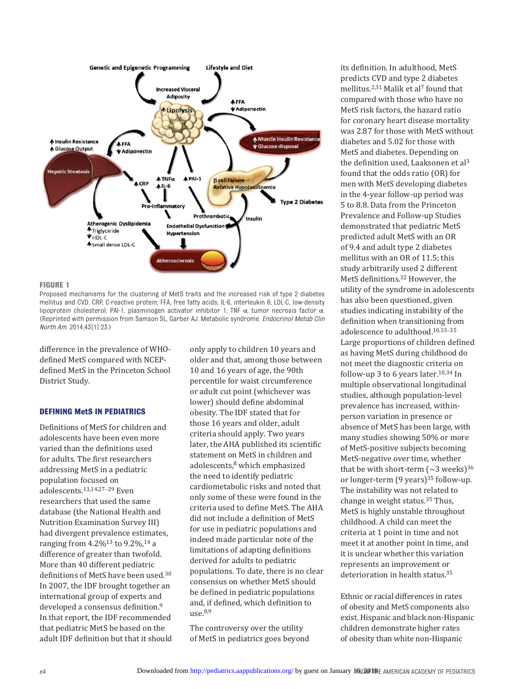

<span id="page-3-0"></span>

Proposed mechanisms for the clustering of MetS traits and the increased risk of type 2 diabetes mellitus and CVD. CRP, C-reactive protein; FFA, free fatty acids; IL-6, interleukin 6; LDL-C, low-density lipoprotein cholesterol; PAI-1, plasminogen activator inhibitor 1; TNF α, tumor necrosis factor α. (Reprinted with permission from Samson SL, Garber AJ. Metabolic syndrome. *Endocrinol Metab Clin North Am*. 2014;43[1]:23.)

difference in the prevalence of WHOdefined MetS compared with NCEPdefined MetS in the Princeton School District Study.

#### **Defining MetS in Pediatrics**

Definitions of MetS for children and adolescents have been even more varied than the definitions used for adults. The first researchers addressing MetS in a pediatric population focused on adolescents. [13](#page-8-16)[,14,](#page-8-17)[27](#page-9-4)–[29](#page-9-5) Even researchers that used the same database (the National Health and Nutrition Examination Survey III) had divergent prevalence estimates, ranging from 4.2[%13](#page-8-16) to 9.2%, [14](#page-8-17) a difference of greater than twofold. More than 40 different pediatric definitions of MetS have been used.<sup>[30](#page-9-6)</sup> In 2007, the IDF brought together an international group of experts and developed a consensus definition. [9](#page-8-6) In that report, the IDF recommended that pediatric MetS be based on the adult IDF definition but that it should

only apply to children 10 years and older and that, among those between 10 and 16 years of age, the 90th percentile for waist circumference or adult cut point (whichever was lower) should define abdominal obesity. The IDF stated that for those 16 years and older, adult criteria should apply. Two years later, the AHA published its scientific statement on MetS in children and adolescents, $8$  which emphasized the need to identify pediatric cardiometabolic risks and noted that only some of these were found in the criteria used to define MetS. The AHA did not include a definition of MetS for use in pediatric populations and indeed made particular note of the limitations of adapting definitions derived for adults to pediatric populations. To date, there is no clear consensus on whether MetS should be defined in pediatric populations and, if defined, which definition to use. [8,](#page-8-5)[9](#page-8-6)

The controversy over the utility of MetS in pediatrics goes beyond its definition. In adulthood, MetS predicts CVD and type 2 diabetes mellitus. [2,](#page-8-1)[31](#page-9-7) Malik et al [7](#page-8-4) found that compared with those who have no MetS risk factors, the hazard ratio for coronary heart disease mortality was 2.87 for those with MetS without diabetes and 5.02 for those with MetS and diabetes. Depending on the definition used, Laaksonen et al [3](#page-8-3) found that the odds ratio (OR) for men with MetS developing diabetes in the 4-year follow-up period was 5 to 8.8. Data from the Princeton Prevalence and Follow-up Studies demonstrated that pediatric MetS predicted adult MetS with an OR of 9.4 and adult type 2 diabetes mellitus with an OR of 11.5; this study arbitrarily used 2 different MetS definitions.[32](#page-9-8) However, the utility of the syndrome in adolescents has also been questioned, given studies indicating instability of the definition when transitioning from adolescence to adulthood. [10](#page-8-7),[33](#page-9-9)–[35](#page-9-10) Large proportions of children defined as having MetS during childhood do not meet the diagnostic criteria on follow-up 3 to 6 years later.<sup>[10,](#page-8-7)34</sup> In multiple observational longitudinal studies, although population-level prevalence has increased, withinperson variation in presence or absence of MetS has been large, with many studies showing 50% or more of MetS-positive subjects becoming MetS-negative over time, whether that be with short-term (∼3 weeks[\)](#page-9-12)[36](#page-9-12) or longer-term (9 years)<sup>[35](#page-9-10)</sup> follow-up. The instability was not related to change in weight status. [35](#page-9-10) Thus, MetS is highly unstable throughout childhood. A child can meet the criteria at 1 point in time and not meet it at another point in time, and it is unclear whether this variation represents an improvement or deterioration in health status.[35](#page-9-10)

Ethnic or racial differences in rates of obesity and MetS components also exist. Hispanic and black non-Hispanic children demonstrate higher rates of obesity than white non-Hispanic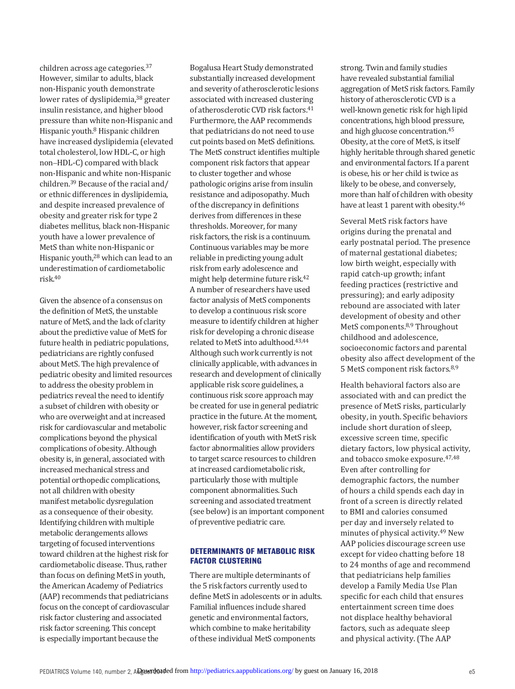children across age categories. [37](#page-9-13) However, similar to adults, black non-Hispanic youth demonstrate lower rates of dyslipidemia,<sup>[38](#page-9-14)</sup> greater insulin resistance, and higher blood pressure than white non-Hispanic and Hispanic youth. [8](#page-8-5) Hispanic children have increased dyslipidemia (elevated total cholesterol, low HDL-C, or high non–HDL-C) compared with black non-Hispanic and white non-Hispanic children. [39](#page-9-15) Because of the racial and/ or ethnic differences in dyslipidemia, and despite increased prevalence of obesity and greater risk for type 2 diabetes mellitus, black non-Hispanic youth have a lower prevalence of MetS than white non-Hispanic or Hispanic youth[,28](#page-9-16) which can lead to an underestimation of cardiometabolic risk. [40](#page-9-17)

Given the absence of a consensus on the definition of MetS, the unstable nature of MetS, and the lack of clarity about the predictive value of MetS for future health in pediatric populations, pediatricians are rightly confused about MetS. The high prevalence of pediatric obesity and limited resources to address the obesity problem in pediatrics reveal the need to identify a subset of children with obesity or who are overweight and at increased risk for cardiovascular and metabolic complications beyond the physical complications of obesity. Although obesity is, in general, associated with increased mechanical stress and potential orthopedic complications, not all children with obesity manifest metabolic dysregulation as a consequence of their obesity. Identifying children with multiple metabolic derangements allows targeting of focused interventions toward children at the highest risk for cardiometabolic disease. Thus, rather than focus on defining MetS in youth, the American Academy of Pediatrics (AAP) recommends that pediatricians focus on the concept of cardiovascular risk factor clustering and associated risk factor screening. This concept is especially important because the

Bogalusa Heart Study demonstrated substantially increased development and severity of atherosclerotic lesions associated with increased clustering of atherosclerotic CVD risk factors. [41](#page-9-18) Furthermore, the AAP recommends that pediatricians do not need to use cut points based on MetS definitions. The MetS construct identifies multiple component risk factors that appear to cluster together and whose pathologic origins arise from insulin resistance and adiposopathy. Much of the discrepancy in definitions derives from differences in these thresholds. Moreover, for many risk factors, the risk is a continuum. Continuous variables may be more reliable in predicting young adult risk from early adolescence and might help determine future risk. [42](#page-9-19) A number of researchers have used factor analysis of MetS components to develop a continuous risk score measure to identify children at higher risk for developing a chronic disease related to MetS into adulthood. [43,](#page-9-20)[44](#page-9-21) Although such work currently is not clinically applicable, with advances in research and development of clinically applicable risk score guidelines, a continuous risk score approach may be created for use in general pediatric practice in the future. At the moment, however, risk factor screening and identification of youth with MetS risk factor abnormalities allow providers to target scarce resources to children at increased cardiometabolic risk, particularly those with multiple component abnormalities. Such screening and associated treatment (see below) is an important component of preventive pediatric care.

#### **Determinants of Metabolic Risk Factor Clustering**

There are multiple determinants of the 5 risk factors currently used to define MetS in adolescents or in adults. Familial influences include shared genetic and environmental factors, which combine to make heritability of these individual MetS components

strong. Twin and family studies have revealed substantial familial aggregation of MetS risk factors. Family history of atherosclerotic CVD is a well-known genetic risk for high lipid concentrations, high blood pressure, and high glucose concentration. [45](#page-9-22) Obesity, at the core of MetS, is itself highly heritable through shared genetic and environmental factors. If a parent is obese, his or her child is twice as likely to be obese, and conversely, more than half of children with obesity have at least 1 parent with obesity. [46](#page-9-23)

Several MetS risk factors have origins during the prenatal and early postnatal period. The presence of maternal gestational diabetes; low birth weight, especially with rapid catch-up growth; infant feeding practices (restrictive and pressuring); and early adiposity rebound are associated with later development of obesity and other MetS components. [8](#page-8-5)[,9](#page-8-6) Throughout childhood and adolescence, socioeconomic factors and parental obesity also affect development of the 5 MetS component risk factors. [8](#page-8-5)[,9](#page-8-6)

Health behavioral factors also are associated with and can predict the presence of MetS risks, particularly obesity, in youth. Specific behaviors include short duration of sleep, excessive screen time, specific dietary factors, low physical activity, and tobacco smoke exposure. [47](#page-9-24),[48](#page-9-25) Even after controlling for demographic factors, the number of hours a child spends each day in front of a screen is directly related to BMI and calories consumed per day and inversely related to minutes of physical activity. [49](#page-9-26) New AAP policies discourage screen use except for video chatting before 18 to 24 months of age and recommend that pediatricians help families develop a Family Media Use Plan specific for each child that ensures entertainment screen time does not displace healthy behavioral factors, such as adequate sleep and physical activity. (The AAP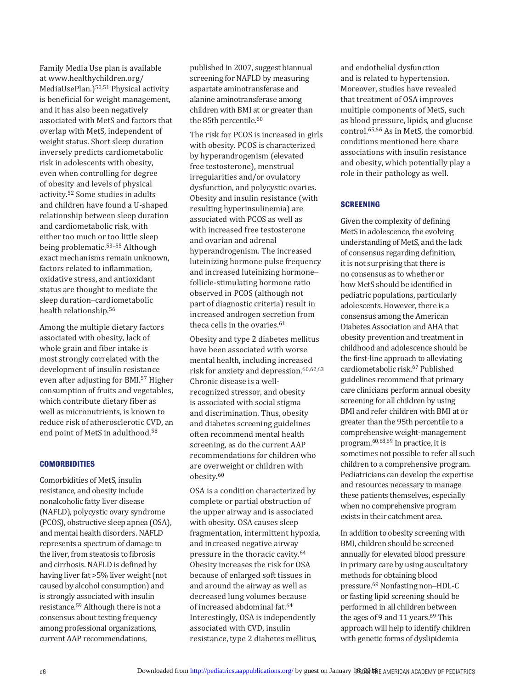Family Media Use plan is available at [www.healthychildren.org/](http://www.healthychildren.org/MediaUsePlan) [MediaUsePlan.](http://www.healthychildren.org/MediaUsePlan))[50,](#page-9-27)[51](#page-10-0) Physical activity is beneficial for weight management, and it has also been negatively associated with MetS and factors that overlap with MetS, independent of weight status. Short sleep duration inversely predicts cardiometabolic risk in adolescents with obesity, even when controlling for degree of obesity and levels of physical activity. [52](#page-10-1) Some studies in adults and children have found a U-shaped relationship between sleep duration and cardiometabolic risk, with either too much or too little sleep being problematic. [53](#page-10-2)–[55](#page-10-3) Although exact mechanisms remain unknown, factors related to inflammation, oxidative stress, and antioxidant status are thought to mediate the sleep duration–cardiometabolic health relationship.[56](#page-10-4)

Among the multiple dietary factors associated with obesity, lack of whole grain and fiber intake is most strongly correlated with the development of insulin resistance even after adjusting for BMI. [57](#page-10-5) Higher consumption of fruits and vegetables, which contribute dietary fiber as well as micronutrients, is known to reduce risk of atherosclerotic CVD, an end point of MetS in adulthood. [58](#page-10-6)

#### **Comorbidities**

Comorbidities of MetS, insulin resistance, and obesity include nonalcoholic fatty liver disease (NAFLD), polycystic ovary syndrome (PCOS), obstructive sleep apnea (OSA), and mental health disorders. NAFLD represents a spectrum of damage to the liver, from steatosis to fibrosis and cirrhosis. NAFLD is defined by having liver fat >5% liver weight (not caused by alcohol consumption) and is strongly associated with insulin resistance. [59](#page-10-7) Although there is not a consensus about testing frequency among professional organizations, current AAP recommendations,

published in 2007, suggest biannual screening for NAFLD by measuring aspartate aminotransferase and alanine aminotransferase among children with BMI at or greater than the 85th percentile.<sup>[60](#page-10-8)</sup>

The risk for PCOS is increased in girls with obesity. PCOS is characterized by hyperandrogenism (elevated free testosterone), menstrual irregularities and/or ovulatory dysfunction, and polycystic ovaries. Obesity and insulin resistance (with resulting hyperinsulinemia) are associated with PCOS as well as with increased free testosterone and ovarian and adrenal hyperandrogenism. The increased luteinizing hormone pulse frequency and increased luteinizing hormone– follicle-stimulating hormone ratio observed in PCOS (although not part of diagnostic criteria) result in increased androgen secretion from theca cells in the ovaries. [61](#page-10-9)

Obesity and type 2 diabetes mellitus have been associated with worse mental health, including increased risk for anxiety and depression. [60](#page-10-8)[,62,](#page-10-10)[63](#page-10-11)  Chronic disease is a wellrecognized stressor, and obesity is associated with social stigma and discrimination. Thus, obesity and diabetes screening guidelines often recommend mental health screening, as do the current AAP recommendations for children who are overweight or children with obesity. [60](#page-10-8)

OSA is a condition characterized by complete or partial obstruction of the upper airway and is associated with obesity. OSA causes sleep fragmentation, intermittent hypoxia, and increased negative airway pressure in the thoracic cavity. [64](#page-10-12) Obesity increases the risk for OSA because of enlarged soft tissues in and around the airway as well as decreased lung volumes because of increased abdominal fat. [64](#page-10-12) Interestingly, OSA is independently associated with CVD, insulin resistance, type 2 diabetes mellitus,

and endothelial dysfunction and is related to hypertension. Moreover, studies have revealed that treatment of OSA improves multiple components of MetS, such as blood pressure, lipids, and glucose control. [65,](#page-10-13)[66](#page-10-14) As in MetS, the comorbid conditions mentioned here share associations with insulin resistance and obesity, which potentially play a role in their pathology as well.

#### **Screening**

Given the complexity of defining MetS in adolescence, the evolving understanding of MetS, and the lack of consensus regarding definition, it is not surprising that there is no consensus as to whether or how MetS should be identified in pediatric populations, particularly adolescents. However, there is a consensus among the American Diabetes Association and AHA that obesity prevention and treatment in childhood and adolescence should be the first-line approach to alleviating cardiometabolic risk. [67](#page-10-15) Published guidelines recommend that primary care clinicians perform annual obesity screening for all children by using BMI and refer children with BMI at or greater than the 95th percentile to a comprehensive weight-management program. [60](#page-10-8)[,68](#page-10-16),[69](#page-10-17) In practice, it is sometimes not possible to refer all such children to a comprehensive program. Pediatricians can develop the expertise and resources necessary to manage these patients themselves, especially when no comprehensive program exists in their catchment area.

In addition to obesity screening with BMI, children should be screened annually for elevated blood pressure in primary care by using auscultatory methods for obtaining blood pressure. [69](#page-10-17) Nonfasting non–HDL-C or fasting lipid screening should be performed in all children between the ages of 9 and 11 years. [69](#page-10-17) This approach will help to identify children with genetic forms of dyslipidemia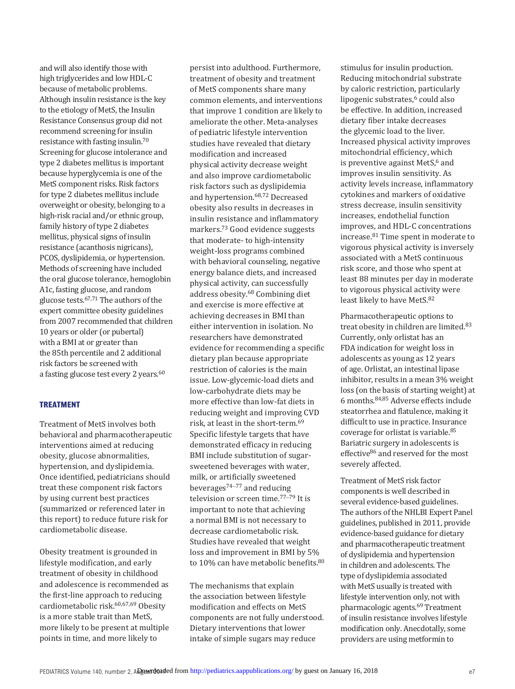and will also identify those with high triglycerides and low HDL-C because of metabolic problems. Although insulin resistance is the key to the etiology of MetS, the Insulin Resistance Consensus group did not recommend screening for insulin resistance with fasting insulin. [70](#page-10-18) Screening for glucose intolerance and type 2 diabetes mellitus is important because hyperglycemia is one of the MetS component risks. Risk factors for type 2 diabetes mellitus include overweight or obesity, belonging to a high-risk racial and/or ethnic group, family history of type 2 diabetes mellitus, physical signs of insulin resistance (acanthosis nigricans), PCOS, dyslipidemia, or hypertension. Methods of screening have included the oral glucose tolerance, hemoglobin A1c, fasting glucose, and random glucose tests. [67](#page-10-15)[,71](#page-10-19) The authors of the expert committee obesity guidelines from 2007 recommended that children 10 years or older (or pubertal) with a BMI at or greater than the 85th percentile and 2 additional risk factors be screened with a fasting glucose test every 2 years. [60](#page-10-8)

#### **Treatment**

Treatment of MetS involves both behavioral and pharmacotherapeutic interventions aimed at reducing obesity, glucose abnormalities, hypertension, and dyslipidemia. Once identified, pediatricians should treat these component risk factors by using current best practices (summarized or referenced later in this report) to reduce future risk for cardiometabolic disease.

Obesity treatment is grounded in lifestyle modification, and early treatment of obesity in childhood and adolescence is recommended as the first-line approach to reducing cardiometabolic risk. [60,](#page-10-8)[67,](#page-10-15)[69](#page-10-17) Obesity is a more stable trait than MetS, more likely to be present at multiple points in time, and more likely to

persist into adulthood. Furthermore, treatment of obesity and treatment of MetS components share many common elements, and interventions that improve 1 condition are likely to ameliorate the other. Meta-analyses of pediatric lifestyle intervention studies have revealed that dietary modification and increased physical activity decrease weight and also improve cardiometabolic risk factors such as dyslipidemia and hypertension. [68,](#page-10-16)[72](#page-10-20) Decreased obesity also results in decreases in insulin resistance and inflammatory markers. [73](#page-10-21) Good evidence suggests that moderate- to high-intensity weight-loss programs combined with behavioral counseling, negative energy balance diets, and increased physical activity, can successfully address obesity. [68](#page-10-16) Combining diet and exercise is more effective at achieving decreases in BMI than either intervention in isolation. No researchers have demonstrated evidence for recommending a specific dietary plan because appropriate restriction of calories is the main issue. Low-glycemic-load diets and low-carbohydrate diets may be more effective than low-fat diets in reducing weight and improving CVD risk, at least in the short-term. [69](#page-10-17) Specific lifestyle targets that have demonstrated efficacy in reducing BMI include substitution of sugarsweetened beverages with water, milk, or artificially sweetened beverage[s](#page-10-22)[74](#page-10-22)–[77](#page-11-0) and reducing television or screen time. [77](#page-11-0)–[79](#page-11-1) It is important to note that achieving a normal BMI is not necessary to decrease cardiometabolic risk. Studies have revealed that weight loss and improvement in BMI by 5% to 10% can have metabolic benefits.<sup>[80](#page-11-2)</sup>

The mechanisms that explain the association between lifestyle modification and effects on MetS components are not fully understood. Dietary interventions that lower intake of simple sugars may reduce

stimulus for insulin production. Reducing mitochondrial substrate by caloric restriction, particularly lipogenic substrates,<sup>[6](#page-8-2)</sup> could also be effective. In addition, increased dietary fiber intake decreases the glycemic load to the liver. Increased physical activity improves mitochondrial efficiency, which is preventive against MetS,<sup>6</sup> and improves insulin sensitivity. As activity levels increase, inflammatory cytokines and markers of oxidative stress decrease, insulin sensitivity increases, endothelial function improves, and HDL-C concentrations increase. [81](#page-11-3) Time spent in moderate to vigorous physical activity is inversely associated with a MetS continuous risk score, and those who spent at least 88 minutes per day in moderate to vigorous physical activity were least likely to have MetS. [82](#page-11-4)

Pharmacotherapeutic options to treat obesity in children are limited.<sup>[83](#page-11-5)</sup> Currently, only orlistat has an FDA indication for weight loss in adolescents as young as 12 years of age. Orlistat, an intestinal lipase inhibitor, results in a mean 3% weight loss (on the basis of starting weight) at 6 months. [84](#page-11-6),[85](#page-11-7) Adverse effects include steatorrhea and flatulence, making it difficult to use in practice. Insurance coverage for orlistat is variable. [85](#page-11-7) Bariatric surgery in adolescents is effective<sup>86</sup> and reserved for the most severely affected.

Treatment of MetS risk factor components is well described in several evidence-based guidelines. The authors of the NHLBI Expert Panel guidelines, published in 2011, provide evidence-based guidance for dietary and pharmacotherapeutic treatment of dyslipidemia and hypertension in children and adolescents. The type of dyslipidemia associated with MetS usually is treated with lifestyle intervention only, not with pharmacologic agents. [69](#page-10-17) Treatment of insulin resistance involves lifestyle modification only. Anecdotally, some providers are using metformin to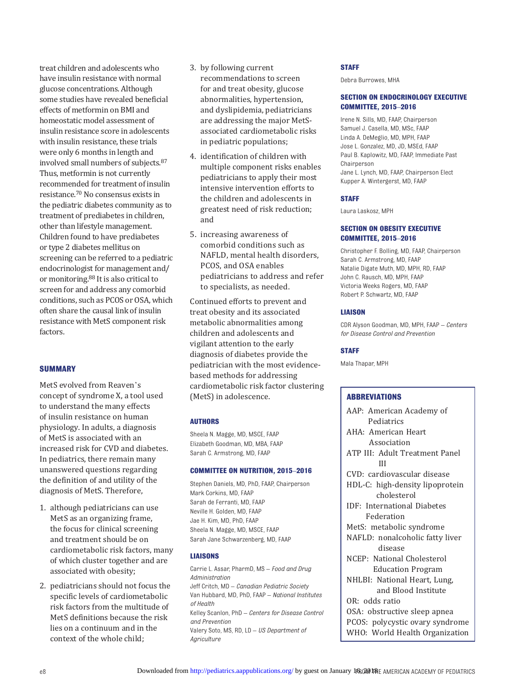treat children and adolescents who have insulin resistance with normal glucose concentrations. Although some studies have revealed beneficial effects of metformin on BMI and homeostatic model assessment of insulin resistance score in adolescents with insulin resistance, these trials were only 6 months in length and involved small numbers of subjects. [87](#page-11-9) Thus, metformin is not currently recommended for treatment of insulin resistance. [70](#page-10-18) No consensus exists in the pediatric diabetes community as to treatment of prediabetes in children, other than lifestyle management. Children found to have prediabetes or type 2 diabetes mellitus on screening can be referred to a pediatric endocrinologist for management and/ or monitoring. [88](#page-11-10) It is also critical to screen for and address any comorbid conditions, such as PCOS or OSA, which often share the causal link of insulin resistance with MetS component risk factors.

#### **Summary**

MetS evolved from Reaven's concept of syndrome X, a tool used to understand the many effects of insulin resistance on human physiology. In adults, a diagnosis of MetS is associated with an increased risk for CVD and diabetes. In pediatrics, there remain many unanswered questions regarding the definition of and utility of the diagnosis of MetS. Therefore,

- 1. although pediatricians can use MetS as an organizing frame, the focus for clinical screening and treatment should be on cardiometabolic risk factors, many of which cluster together and are associated with obesity;
- 2. pediatricians should not focus the specific levels of cardiometabolic risk factors from the multitude of MetS definitions because the risk lies on a continuum and in the context of the whole child;
- 3. by following current recommendations to screen for and treat obesity, glucose abnormalities, hypertension, and dyslipidemia, pediatricians are addressing the major MetSassociated cardiometabolic risks in pediatric populations;
- 4. identification of children with multiple component risks enables pediatricians to apply their most intensive intervention efforts to the children and adolescents in greatest need of risk reduction; and
- 5. increasing awareness of comorbid conditions such as NAFLD, mental health disorders, PCOS, and OSA enables pediatricians to address and refer to specialists, as needed.

Continued efforts to prevent and treat obesity and its associated metabolic abnormalities among children and adolescents and vigilant attention to the early diagnosis of diabetes provide the pediatrician with the most evidencebased methods for addressing cardiometabolic risk factor clustering (MetS) in adolescence.

#### **Authors**

Sheela N. Magge, MD, MSCE, FAAP Elizabeth Goodman, MD, MBA, FAAP Sarah C. Armstrong, MD, FAAP

#### **Committee on Nutrition, 2015**–**2016**

Stephen Daniels, MD, PhD, FAAP, Chairperson Mark Corkins, MD, FAAP Sarah de Ferranti, MD, FAAP Neville H. Golden, MD, FAAP Jae H. Kim, MD, PhD, FAAP Sheela N. Magge, MD, MSCE, FAAP Sarah Jane Schwarzenberg, MD, FAAP

#### **Liaisons**

Carrie L. Assar, PharmD, MS – *Food and Drug Administration* Jeff Critch, MD – *Canadian Pediatric Society* Van Hubbard, MD, PhD, FAAP – *National Institutes of Health* Kelley Scanlon, PhD – *Centers for Disease Control and Prevention* Valery Soto, MS, RD, LD – *US Department of Agriculture*

#### **Staff**

Debra Burrowes, MHA

#### **Section on Endocrinology Executive Committee, 2015**–**2016**

Irene N. Sills, MD, FAAP, Chairperson Samuel J. Casella, MD, MSc, FAAP Linda A. DeMeglio, MD, MPH, FAAP Jose L. Gonzalez, MD, JD, MSEd, FAAP Paul B. Kaplowitz, MD, FAAP, Immediate Past Chairperson Jane L. Lynch, MD, FAAP, Chairperson Elect Kupper A. Wintergerst, MD, FAAP

#### **Staff**

Laura Laskosz, MPH

#### **SECTION ON OBESITY EXECUTIVE Committee, 2015**–**2016**

Christopher F. Bolling, MD, FAAP, Chairperson Sarah C. Armstrong, MD, FAAP Natalie Digate Muth, MD, MPH, RD, FAAP John C. Rausch, MD, MPH, FAAP Victoria Weeks Rogers, MD, FAAP Robert P. Schwartz, MD, FAAP

#### **Liaison**

CDR Alyson Goodman, MD, MPH, FAAP – *Centers for Disease Control and Prevention*

#### **Staff**

Mala Thapar, MPH

#### **Abbreviations**

AAP: American Academy of Pediatrics AHA: American Heart Association ATP III: Adult Treatment Panel III CVD: cardiovascular disease HDL-C: high-density lipoprotein cholesterol IDF: International Diabetes Federation MetS: metabolic syndrome NAFLD: nonalcoholic fatty liver disease NCEP: National Cholesterol Education Program NHLBI: National Heart, Lung, and Blood Institute OR: odds ratio OSA: obstructive sleep apnea PCOS: polycystic ovary syndrome WHO: World Health Organization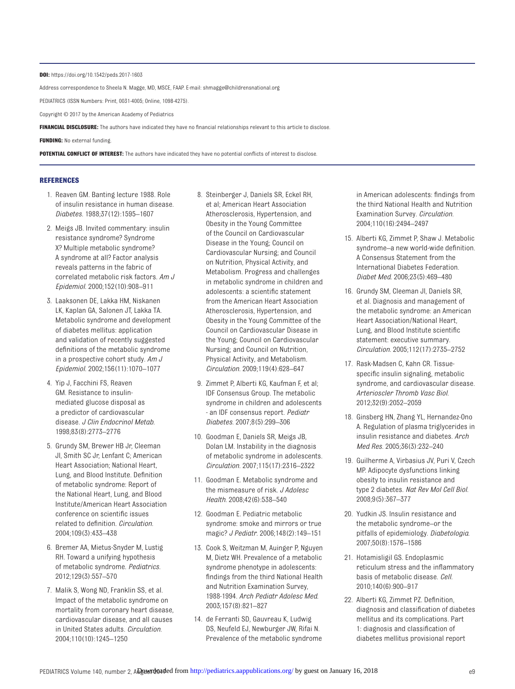**DOI:**<https://doi.org/10.1542/peds.2017-1603>

Address correspondence to Sheela N. Magge, MD, MSCE, FAAP. E-mail: [shmagge@childrensnational.org](mailto:)

PEDIATRICS (ISSN Numbers: Print, 0031-4005; Online, 1098-4275).

Copyright © 2017 by the American Academy of Pediatrics

**FINANCIAL DISCLOSURE:** The authors have indicated they have no financial relationships relevant to this article to disclose.

#### **FUNDING:** No external funding.

**POTENTIAL CONFLICT OF INTEREST:** The authors have indicated they have no potential conflicts of interest to disclose.

#### **References**

- <span id="page-8-0"></span>1. Reaven GM. Banting lecture 1988. Role of insulin resistance in human disease. *Diabetes*. 1988;37(12):1595–1607
- <span id="page-8-1"></span>2. Meigs JB. Invited commentary: insulin resistance syndrome? Syndrome X? Multiple metabolic syndrome? A syndrome at all? Factor analysis reveals patterns in the fabric of correlated metabolic risk factors. *Am J Epidemiol*. 2000;152(10):908–911
- <span id="page-8-3"></span>3. Laaksonen DE, Lakka HM, Niskanen LK, Kaplan GA, Salonen JT, Lakka TA. Metabolic syndrome and development of diabetes mellitus: application and validation of recently suggested definitions of the metabolic syndrome in a prospective cohort study. *Am J Epidemiol*. 2002;156(11):1070–1077
- 4. Yip J, Facchini FS, Reaven GM. Resistance to insulinmediated glucose disposal as a predictor of cardiovascular disease. *J Clin Endocrinol Metab*. 1998;83(8):2773–2776
- 5. Grundy SM, Brewer HB Jr, Cleeman JI, Smith SC Jr, Lenfant C; American Heart Association; National Heart, Lung, and Blood Institute. Definition of metabolic syndrome: Report of the National Heart, Lung, and Blood Institute/American Heart Association conference on scientific issues related to definition. *Circulation*. 2004;109(3):433–438
- <span id="page-8-2"></span>6. Bremer AA, Mietus-Snyder M, Lustig RH. Toward a unifying hypothesis of metabolic syndrome. *Pediatrics*. 2012;129(3):557–570
- <span id="page-8-4"></span>7. Malik S, Wong ND, Franklin SS, et al. Impact of the metabolic syndrome on mortality from coronary heart disease, cardiovascular disease, and all causes in United States adults. *Circulation*. 2004;110(10):1245–1250
- <span id="page-8-5"></span>8. Steinberger J, Daniels SR, Eckel RH, et al; American Heart Association Atherosclerosis, Hypertension, and Obesity in the Young Committee of the Council on Cardiovascular Disease in the Young; Council on Cardiovascular Nursing; and Council on Nutrition, Physical Activity, and Metabolism. Progress and challenges in metabolic syndrome in children and adolescents: a scientific statement from the American Heart Association Atherosclerosis, Hypertension, and Obesity in the Young Committee of the Council on Cardiovascular Disease in the Young; Council on Cardiovascular Nursing; and Council on Nutrition, Physical Activity, and Metabolism. *Circulation*. 2009;119(4):628–647
- <span id="page-8-6"></span>9. Zimmet P, Alberti KG, Kaufman F, et al; IDF Consensus Group. The metabolic syndrome in children and adolescents - an IDF consensus report. *Pediatr Diabetes*. 2007;8(5):299–306
- <span id="page-8-7"></span>10. Goodman E, Daniels SR, Meigs JB, Dolan LM. Instability in the diagnosis of metabolic syndrome in adolescents. *Circulation*. 2007;115(17):2316–2322
- 11. Goodman E. Metabolic syndrome and the mismeasure of risk. *J Adolesc Health*. 2008;42(6):538–540
- <span id="page-8-8"></span>12. Goodman E. Pediatric metabolic syndrome: smoke and mirrors or true magic? *J Pediatr*. 2006;148(2):149–151
- <span id="page-8-16"></span>13. Cook S, Weitzman M, Auinger P, Nguyen M, Dietz WH. Prevalence of a metabolic syndrome phenotype in adolescents: findings from the third National Health and Nutrition Examination Survey, 1988-1994. *Arch Pediatr Adolesc Med*. 2003;157(8):821–827
- <span id="page-8-17"></span>14. de Ferranti SD, Gauvreau K, Ludwig DS, Neufeld EJ, Newburger JW, Rifai N. Prevalence of the metabolic syndrome

in American adolescents: findings from the third National Health and Nutrition Examination Survey. *Circulation*. 2004;110(16):2494–2497

- <span id="page-8-18"></span>15. Alberti KG, Zimmet P, Shaw J. Metabolic syndrome–a new world-wide definition. A Consensus Statement from the International Diabetes Federation. *Diabet Med*. 2006;23(5):469–480
- <span id="page-8-15"></span>16. Grundy SM, Cleeman JI, Daniels SR, et al. Diagnosis and management of the metabolic syndrome: an American Heart Association/National Heart, Lung, and Blood Institute scientific statement: executive summary. *Circulation*. 2005;112(17):2735–2752
- <span id="page-8-9"></span>17. Rask-Madsen C, Kahn CR. Tissuespecific insulin signaling, metabolic syndrome, and cardiovascular disease. *Arterioscler Thromb Vasc Biol*. 2012;32(9):2052–2059
- <span id="page-8-10"></span>18. Ginsberg HN, Zhang YL, Hernandez-Ono A. Regulation of plasma triglycerides in insulin resistance and diabetes. *Arch Med Res*. 2005;36(3):232–240
- <span id="page-8-11"></span>19. Guilherme A, Virbasius JV, Puri V, Czech MP. Adipocyte dysfunctions linking obesity to insulin resistance and type 2 diabetes. *Nat Rev Mol Cell Biol*. 2008;9(5):367–377
- <span id="page-8-12"></span>20. Yudkin JS. Insulin resistance and the metabolic syndrome–or the pitfalls of epidemiology. *Diabetologia*. 2007;50(8):1576–1586
- <span id="page-8-13"></span>21. Hotamisligil GS. Endoplasmic reticulum stress and the inflammatory basis of metabolic disease. *Cell*. 2010;140(6):900–917
- <span id="page-8-14"></span>22. Alberti KG, Zimmet PZ. Definition, diagnosis and classification of diabetes mellitus and its complications. Part 1: diagnosis and classification of diabetes mellitus provisional report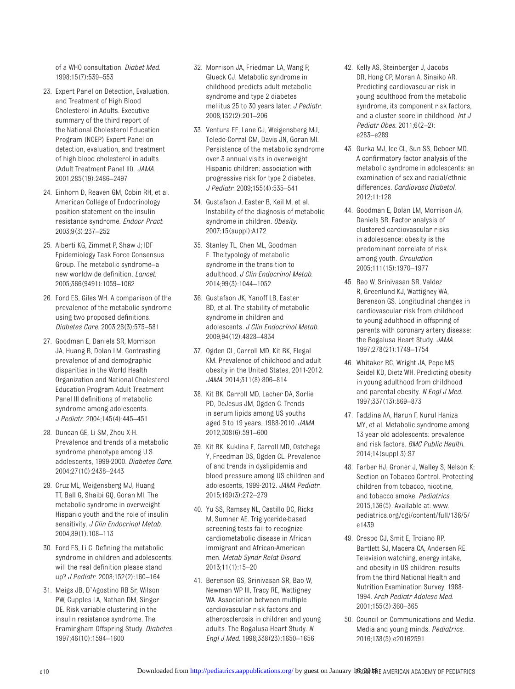of a WHO consultation. *Diabet Med*. 1998;15(7):539–553

- <span id="page-9-0"></span>23. Expert Panel on Detection, Evaluation, and Treatment of High Blood Cholesterol in Adults. Executive summary of the third report of the National Cholesterol Education Program (NCEP) Expert Panel on detection, evaluation, and treatment of high blood cholesterol in adults (Adult Treatment Panel III). *JAMA*. 2001;285(19):2486–2497
- <span id="page-9-1"></span>24. Einhorn D, Reaven GM, Cobin RH, et al. American College of Endocrinology position statement on the insulin resistance syndrome. *Endocr Pract*. 2003;9(3):237–252
- <span id="page-9-2"></span>25. Alberti KG, Zimmet P, Shaw J; IDF Epidemiology Task Force Consensus Group. The metabolic syndrome–a new worldwide definition. *Lancet*. 2005;366(9491):1059–1062
- <span id="page-9-3"></span>26. Ford ES, Giles WH. A comparison of the prevalence of the metabolic syndrome using two proposed definitions. *Diabetes Care*. 2003;26(3):575–581
- <span id="page-9-4"></span>27. Goodman E, Daniels SR, Morrison JA, Huang B, Dolan LM. Contrasting prevalence of and demographic disparities in the World Health Organization and National Cholesterol Education Program Adult Treatment Panel III definitions of metabolic syndrome among adolescents. *J Pediatr*. 2004;145(4):445–451
- <span id="page-9-16"></span>28. Duncan GE, Li SM, Zhou X-H. Prevalence and trends of a metabolic syndrome phenotype among U.S. adolescents, 1999-2000. *Diabetes Care*. 2004;27(10):2438–2443
- <span id="page-9-5"></span>29. Cruz ML, Weigensberg MJ, Huang TT, Ball G, Shaibi GQ, Goran MI. The metabolic syndrome in overweight Hispanic youth and the role of insulin sensitivity. *J Clin Endocrinol Metab*. 2004;89(1):108–113
- <span id="page-9-6"></span>30. Ford ES, Li C. Defining the metabolic syndrome in children and adolescents: will the real definition please stand up? *J Pediatr*. 2008;152(2):160–164
- <span id="page-9-7"></span>31. Meigs JB, D'Agostino RB Sr, Wilson PW, Cupples LA, Nathan DM, Singer DE. Risk variable clustering in the insulin resistance syndrome. The Framingham Offspring Study. *Diabetes*. 1997;46(10):1594–1600
- <span id="page-9-8"></span>32. Morrison JA, Friedman LA, Wang P, Glueck CJ. Metabolic syndrome in childhood predicts adult metabolic syndrome and type 2 diabetes mellitus 25 to 30 years later. *J Pediatr*. 2008;152(2):201–206
- <span id="page-9-9"></span>33. Ventura EE, Lane CJ, Weigensberg MJ, Toledo-Corral CM, Davis JN, Goran MI. Persistence of the metabolic syndrome over 3 annual visits in overweight Hispanic children: association with progressive risk for type 2 diabetes. *J Pediatr*. 2009;155(4):535–541
- <span id="page-9-11"></span>34. Gustafson J, Easter B, Keil M, et al. Instability of the diagnosis of metabolic syndrome in children. *Obesity*. 2007;15(suppl):A172
- <span id="page-9-10"></span>35. Stanley TL, Chen ML, Goodman E. The typology of metabolic syndrome in the transition to adulthood. *J Clin Endocrinol Metab*. 2014;99(3):1044–1052
- <span id="page-9-12"></span>36. Gustafson JK, Yanoff LB, Easter BD, et al. The stability of metabolic syndrome in children and adolescents. *J Clin Endocrinol Metab*. 2009;94(12):4828–4834
- <span id="page-9-13"></span>37. Ogden CL, Carroll MD, Kit BK, Flegal KM. Prevalence of childhood and adult obesity in the United States, 2011-2012. *JAMA*. 2014;311(8):806–814
- <span id="page-9-14"></span>38. Kit BK, Carroll MD, Lacher DA, Sorlie PD, DeJesus JM, Ogden C. Trends in serum lipids among US youths aged 6 to 19 years, 1988-2010. *JAMA*. 2012;308(6):591–600
- <span id="page-9-15"></span>39. Kit BK, Kuklina E, Carroll MD, Ostchega Y, Freedman DS, Ogden CL. Prevalence of and trends in dyslipidemia and blood pressure among US children and adolescents, 1999-2012. *JAMA Pediatr*. 2015;169(3):272–279
- <span id="page-9-17"></span>40. Yu SS, Ramsey NL, Castillo DC, Ricks M, Sumner AE. Triglyceride-based screening tests fail to recognize cardiometabolic disease in African immigrant and African-American men. *Metab Syndr Relat Disord*. 2013;11(1):15–20
- <span id="page-9-18"></span>41. Berenson GS, Srinivasan SR, Bao W, Newman WP III, Tracy RE, Wattigney WA. Association between multiple cardiovascular risk factors and atherosclerosis in children and young adults. The Bogalusa Heart Study. *N Engl J Med*. 1998;338(23):1650–1656
- <span id="page-9-19"></span>42. Kelly AS, Steinberger J, Jacobs DR, Hong CP, Moran A, Sinaiko AR. Predicting cardiovascular risk in young adulthood from the metabolic syndrome, its component risk factors, and a cluster score in childhood. *Int J Pediatr Obes*. 2011;6(2–2): e283–e289
- <span id="page-9-20"></span>43. Gurka MJ, Ice CL, Sun SS, Deboer MD. A confirmatory factor analysis of the metabolic syndrome in adolescents: an examination of sex and racial/ethnic differences. *Cardiovasc Diabetol*. 2012;11:128
- <span id="page-9-21"></span>44. Goodman E, Dolan LM, Morrison JA, Daniels SR. Factor analysis of clustered cardiovascular risks in adolescence: obesity is the predominant correlate of risk among youth. *Circulation*. 2005;111(15):1970–1977
- <span id="page-9-22"></span>45. Bao W, Srinivasan SR, Valdez R, Greenlund KJ, Wattigney WA, Berenson GS. Longitudinal changes in cardiovascular risk from childhood to young adulthood in offspring of parents with coronary artery disease: the Bogalusa Heart Study. *JAMA*. 1997;278(21):1749–1754
- <span id="page-9-23"></span>46. Whitaker RC, Wright JA, Pepe MS, Seidel KD, Dietz WH. Predicting obesity in young adulthood from childhood and parental obesity. *N Engl J Med*. 1997;337(13):869–873
- <span id="page-9-24"></span>47. Fadzlina AA, Harun F, Nurul Haniza MY, et al. Metabolic syndrome among 13 year old adolescents: prevalence and risk factors. *BMC Public Health*. 2014;14(suppl 3):S7
- <span id="page-9-25"></span>48. Farber HJ, Groner J, Walley S, Nelson K; Section on Tobacco Control. Protecting children from tobacco, nicotine, and tobacco smoke. *Pediatrics*. 2015;136(5). Available at: [www.](www.pediatrics.org/cgi/content/full/136/5/e1439) [pediatrics.org/cgi/content/full/136/5/](www.pediatrics.org/cgi/content/full/136/5/e1439) [e1439](www.pediatrics.org/cgi/content/full/136/5/e1439)
- <span id="page-9-26"></span>49. Crespo CJ, Smit E, Troiano RP, Bartlett SJ, Macera CA, Andersen RE. Television watching, energy intake, and obesity in US children: results from the third National Health and Nutrition Examination Survey, 1988- 1994. *Arch Pediatr Adolesc Med*. 2001;155(3):360–365
- <span id="page-9-27"></span>50. Council on Communications and Media. Media and young minds. *Pediatrics*. 2016;138(5):e20162591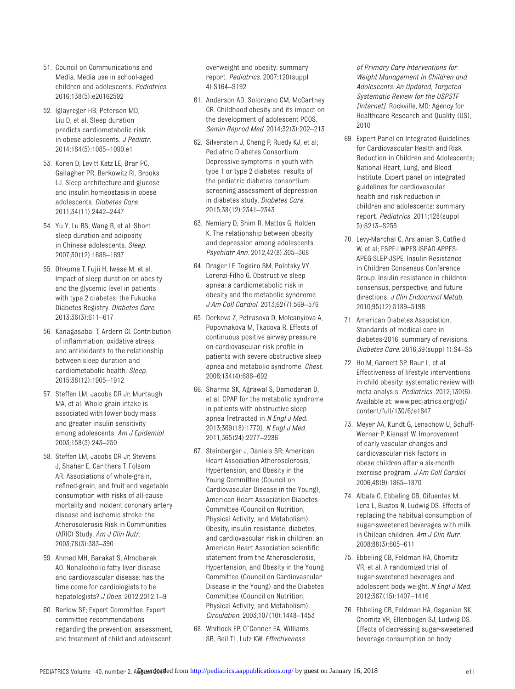- <span id="page-10-0"></span>51. Council on Communications and Media. Media use in school-aged children and adolescents. *Pediatrics*. 2016;138(5):e20162592
- <span id="page-10-1"></span>52. Iglayreger HB, Peterson MD, Liu D, et al. Sleep duration predicts cardiometabolic risk in obese adolescents. *J Pediatr*. 2014;164(5):1085–1090.e1
- <span id="page-10-2"></span>53. Koren D, Levitt Katz LE, Brar PC, Gallagher PR, Berkowitz RI, Brooks LJ. Sleep architecture and glucose and insulin homeostasis in obese adolescents. *Diabetes Care*. 2011;34(11):2442–2447
- 54. Yu Y, Lu BS, Wang B, et al. Short sleep duration and adiposity in Chinese adolescents. *Sleep*. 2007;30(12):1688–1697
- <span id="page-10-3"></span>55. Ohkuma T, Fujii H, Iwase M, et al. Impact of sleep duration on obesity and the glycemic level in patients with type 2 diabetes: the Fukuoka Diabetes Registry. *Diabetes Care*. 2013;36(3):611–617
- <span id="page-10-4"></span>56. Kanagasabai T, Ardern CI. Contribution of inflammation, oxidative stress, and antioxidants to the relationship between sleep duration and cardiometabolic health. *Sleep*. 2015;38(12):1905–1912
- <span id="page-10-5"></span>57. Steffen LM, Jacobs DR Jr, Murtaugh MA, et al. Whole grain intake is associated with lower body mass and greater insulin sensitivity among adolescents. *Am J Epidemiol*. 2003;158(3):243–250
- <span id="page-10-6"></span>58. Steffen LM, Jacobs DR Jr, Stevens J, Shahar E, Carithers T, Folsom AR. Associations of whole-grain, refined-grain, and fruit and vegetable consumption with risks of all-cause mortality and incident coronary artery disease and ischemic stroke: the Atherosclerosis Risk in Communities (ARIC) Study. *Am J Clin Nutr*. 2003;78(3):383–390
- <span id="page-10-7"></span>59. Ahmed MH, Barakat S, Almobarak AO. Nonalcoholic fatty liver disease and cardiovascular disease: has the time come for cardiologists to be hepatologists? *J Obes*. 2012;2012:1–9
- <span id="page-10-8"></span>60. Barlow SE; Expert Committee. Expert committee recommendations regarding the prevention, assessment, and treatment of child and adolescent

overweight and obesity: summary report. *Pediatrics*. 2007;120(suppl 4):S164–S192

- <span id="page-10-9"></span>61. Anderson AD, Solorzano CM, McCartney CR. Childhood obesity and its impact on the development of adolescent PCOS. *Semin Reprod Med*. 2014;32(3):202–213
- <span id="page-10-10"></span>62. Silverstein J, Cheng P, Ruedy KJ, et al; Pediatric Diabetes Consortium. Depressive symptoms in youth with type 1 or type 2 diabetes: results of the pediatric diabetes consortium screening assessment of depression in diabetes study. *Diabetes Care*. 2015;38(12):2341–2343
- <span id="page-10-11"></span>63. Nemiary D, Shim R, Mattox G, Holden K. The relationship between obesity and depression among adolescents. *Psychiatr Ann*. 2012;42(8):305–308
- <span id="page-10-12"></span>64. Drager LF, Togeiro SM, Polotsky VY, Lorenzi-Filho G. Obstructive sleep apnea: a cardiometabolic risk in obesity and the metabolic syndrome. *J Am Coll Cardiol*. 2013;62(7):569–576
- <span id="page-10-13"></span>65. Dorkova Z, Petrasova D, Molcanyiova A, Popovnakova M, Tkacova R. Effects of continuous positive airway pressure on cardiovascular risk profile in patients with severe obstructive sleep apnea and metabolic syndrome. *Chest*. 2008;134(4):686–692
- <span id="page-10-14"></span>66. Sharma SK, Agrawal S, Damodaran D, et al. CPAP for the metabolic syndrome in patients with obstructive sleep apnea [retracted in *N Engl J Med*. 2013;369(18):1770]. *N Engl J Med*. 2011;365(24):2277–2286
- <span id="page-10-15"></span>67. Steinberger J, Daniels SR; American Heart Association Atherosclerosis, Hypertension, and Obesity in the Young Committee (Council on Cardiovascular Disease in the Young); American Heart Association Diabetes Committee (Council on Nutrition, Physical Activity, and Metabolism). Obesity, insulin resistance, diabetes, and cardiovascular risk in children: an American Heart Association scientific statement from the Atherosclerosis, Hypertension, and Obesity in the Young Committee (Council on Cardiovascular Disease in the Young) and the Diabetes Committee (Council on Nutrition, Physical Activity, and Metabolism). *Circulation*. 2003;107(10):1448–1453
- <span id="page-10-16"></span>68. Whitlock EP, O'Conner EA, Williams SB, Beil TL, Lutz KW. *Effectiveness*

*of Primary Care Interventions for Weight Management in Children and Adolescents: An Updated, Targeted Systematic Review for the USPSTF [Internet]*. Rockville, MD: Agency for Healthcare Research and Quality (US); 2010

- <span id="page-10-17"></span>69. Expert Panel on Integrated Guidelines for Cardiovascular Health and Risk Reduction in Children and Adolescents; National Heart, Lung, and Blood Institute. Expert panel on integrated guidelines for cardiovascular health and risk reduction in children and adolescents: summary report. *Pediatrics*. 2011;128(suppl 5):S213–S256
- <span id="page-10-18"></span>70. Levy-Marchal C, Arslanian S, Cutfield W, et al; ESPE-LWPES-ISPAD-APPES-APEG-SLEP-JSPE; Insulin Resistance in Children Consensus Conference Group. Insulin resistance in children: consensus, perspective, and future directions. *J Clin Endocrinol Metab*. 2010;95(12):5189–5198
- <span id="page-10-19"></span>71. American Diabetes Association. Standards of medical care in diabetes-2016: summary of revisions. *Diabetes Care*. 2016;39(suppl 1):S4–S5
- <span id="page-10-20"></span>72. Ho M, Garnett SP, Baur L, et al. Effectiveness of lifestyle interventions in child obesity: systematic review with meta-analysis. *Pediatrics*. 2012;130(6). Available at: [www.pediatrics.org/cgi/](www.pediatrics.org/cgi/content/full/130/6/e1647) [content/full/130/6/e1647](www.pediatrics.org/cgi/content/full/130/6/e1647)
- <span id="page-10-21"></span>73. Meyer AA, Kundt G, Lenschow U, Schuff-Werner P, Kienast W. Improvement of early vascular changes and cardiovascular risk factors in obese children after a six-month exercise program. *J Am Coll Cardiol*. 2006;48(9):1865–1870
- <span id="page-10-22"></span>74. Albala C, Ebbeling CB, Cifuentes M, Lera L, Bustos N, Ludwig DS. Effects of replacing the habitual consumption of sugar-sweetened beverages with milk in Chilean children. *Am J Clin Nutr*. 2008;88(3):605–611
- 75. Ebbeling CB, Feldman HA, Chomitz VR, et al. A randomized trial of sugar-sweetened beverages and adolescent body weight. *N Engl J Med*. 2012;367(15):1407–1416
- 76. Ebbeling CB, Feldman HA, Osganian SK, Chomitz VR, Ellenbogen SJ, Ludwig DS. Effects of decreasing sugar-sweetened beverage consumption on body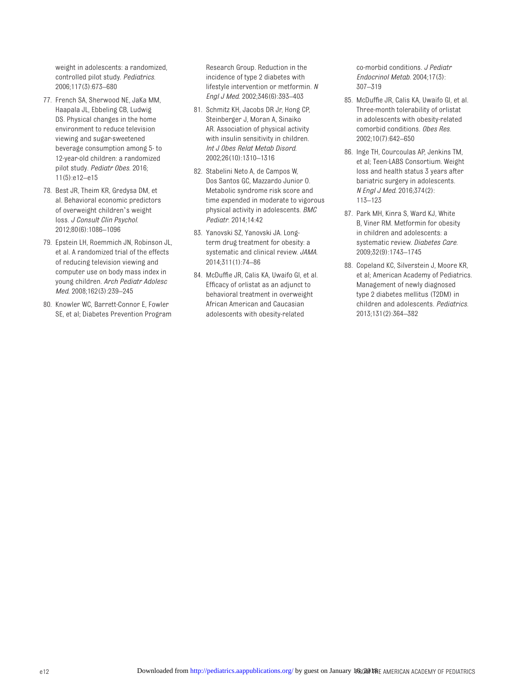weight in adolescents: a randomized, controlled pilot study. *Pediatrics*. 2006;117(3):673–680

- <span id="page-11-0"></span>77. French SA, Sherwood NE, JaKa MM, Haapala JL, Ebbeling CB, Ludwig DS. Physical changes in the home environment to reduce television viewing and sugar-sweetened beverage consumption among 5- to 12-year-old children: a randomized pilot study. *Pediatr Obes*. 2016; 11(5):e12–e15
- 78. Best JR, Theim KR, Gredysa DM, et al. Behavioral economic predictors of overweight children's weight loss. *J Consult Clin Psychol*. 2012;80(6):1086–1096
- <span id="page-11-1"></span>79. Epstein LH, Roemmich JN, Robinson JL, et al. A randomized trial of the effects of reducing television viewing and computer use on body mass index in young children. *Arch Pediatr Adolesc Med*. 2008;162(3):239–245
- <span id="page-11-2"></span>80. Knowler WC, Barrett-Connor E, Fowler SE, et al; Diabetes Prevention Program

Research Group. Reduction in the incidence of type 2 diabetes with lifestyle intervention or metformin. *N Engl J Med*. 2002;346(6):393–403

- <span id="page-11-3"></span>81. Schmitz KH, Jacobs DR Jr, Hong CP, Steinberger J, Moran A, Sinaiko AR. Association of physical activity with insulin sensitivity in children. *Int J Obes Relat Metab Disord*. 2002;26(10):1310–1316
- <span id="page-11-4"></span>82. Stabelini Neto A, de Campos W, Dos Santos GC, Mazzardo Junior O. Metabolic syndrome risk score and time expended in moderate to vigorous physical activity in adolescents. *BMC Pediatr*. 2014;14:42
- <span id="page-11-5"></span>83. Yanovski SZ, Yanovski JA. Longterm drug treatment for obesity: a systematic and clinical review. *JAMA*. 2014;311(1):74–86
- <span id="page-11-6"></span>84. McDuffie JR, Calis KA, Uwaifo GI, et al. Efficacy of orlistat as an adjunct to behavioral treatment in overweight African American and Caucasian adolescents with obesity-related

co-morbid conditions. *J Pediatr Endocrinol Metab*. 2004;17(3): 307–319

- <span id="page-11-7"></span>85. McDuffie JR, Calis KA, Uwaifo GI, et al. Three-month tolerability of orlistat in adolescents with obesity-related comorbid conditions. *Obes Res*. 2002;10(7):642–650
- <span id="page-11-8"></span>86. Inge TH, Courcoulas AP, Jenkins TM, et al; Teen-LABS Consortium. Weight loss and health status 3 years after bariatric surgery in adolescents. *N Engl J Med*. 2016;374(2): 113–123
- <span id="page-11-9"></span>87. Park MH, Kinra S, Ward KJ, White B, Viner RM. Metformin for obesity in children and adolescents: a systematic review. *Diabetes Care*. 2009;32(9):1743–1745
- <span id="page-11-10"></span>88. Copeland KC, Silverstein J, Moore KR, et al; American Academy of Pediatrics. Management of newly diagnosed type 2 diabetes mellitus (T2DM) in children and adolescents. *Pediatrics*. 2013;131(2):364–382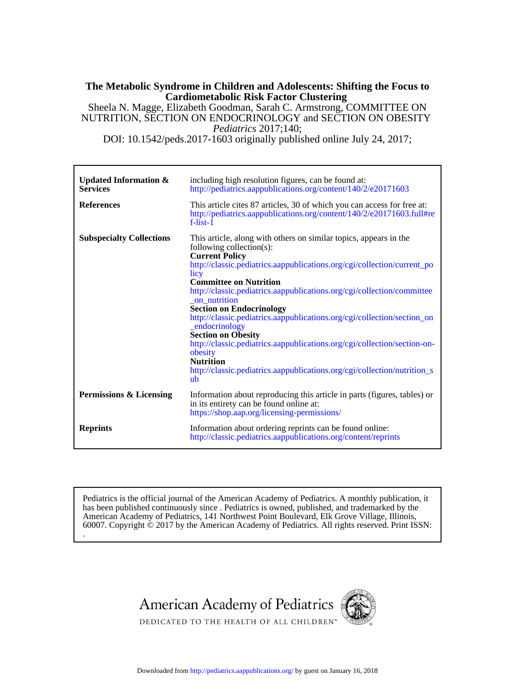### **Cardiometabolic Risk Factor Clustering The Metabolic Syndrome in Children and Adolescents: Shifting the Focus to**

*Pediatrics* 2017;140; NUTRITION, SECTION ON ENDOCRINOLOGY and SECTION ON OBESITY Sheela N. Magge, Elizabeth Goodman, Sarah C. Armstrong, COMMITTEE ON

DOI: 10.1542/peds.2017-1603 originally published online July 24, 2017;

| <b>Updated Information &amp;</b><br><b>Services</b> | including high resolution figures, can be found at:<br>http://pediatrics.aappublications.org/content/140/2/e20171603                                                                                                                                                                                                                                                                                                                                                                                                                                                                                                                                                                                            |
|-----------------------------------------------------|-----------------------------------------------------------------------------------------------------------------------------------------------------------------------------------------------------------------------------------------------------------------------------------------------------------------------------------------------------------------------------------------------------------------------------------------------------------------------------------------------------------------------------------------------------------------------------------------------------------------------------------------------------------------------------------------------------------------|
| <b>References</b>                                   | This article cites 87 articles, 30 of which you can access for free at:<br>http://pediatrics.aappublications.org/content/140/2/e20171603.full#re<br>$f$ -list-1                                                                                                                                                                                                                                                                                                                                                                                                                                                                                                                                                 |
| <b>Subspecialty Collections</b>                     | This article, along with others on similar topics, appears in the<br>following collection $(s)$ :<br><b>Current Policy</b><br>http://classic.pediatrics.aappublications.org/cgi/collection/current_po<br>licy<br><b>Committee on Nutrition</b><br>http://classic.pediatrics.aappublications.org/cgi/collection/committee<br>_on_nutrition<br><b>Section on Endocrinology</b><br>http://classic.pediatrics.aappublications.org/cgi/collection/section_on<br>_endocrinology<br><b>Section on Obesity</b><br>http://classic.pediatrics.aappublications.org/cgi/collection/section-on-<br>obesity<br><b>Nutrition</b><br>http://classic.pediatrics.aappublications.org/cgi/collection/nutrition_s<br>u <sub>b</sub> |
| <b>Permissions &amp; Licensing</b>                  | Information about reproducing this article in parts (figures, tables) or<br>in its entirety can be found online at:<br>https://shop.aap.org/licensing-permissions/                                                                                                                                                                                                                                                                                                                                                                                                                                                                                                                                              |
| <b>Reprints</b>                                     | Information about ordering reprints can be found online:<br>http://classic.pediatrics.aappublications.org/content/reprints                                                                                                                                                                                                                                                                                                                                                                                                                                                                                                                                                                                      |

. 60007. Copyright © 2017 by the American Academy of Pediatrics. All rights reserved. Print ISSN: American Academy of Pediatrics, 141 Northwest Point Boulevard, Elk Grove Village, Illinois, has been published continuously since . Pediatrics is owned, published, and trademarked by the Pediatrics is the official journal of the American Academy of Pediatrics. A monthly publication, it



Downloaded from<http://pediatrics.aappublications.org/>by guest on January 16, 2018